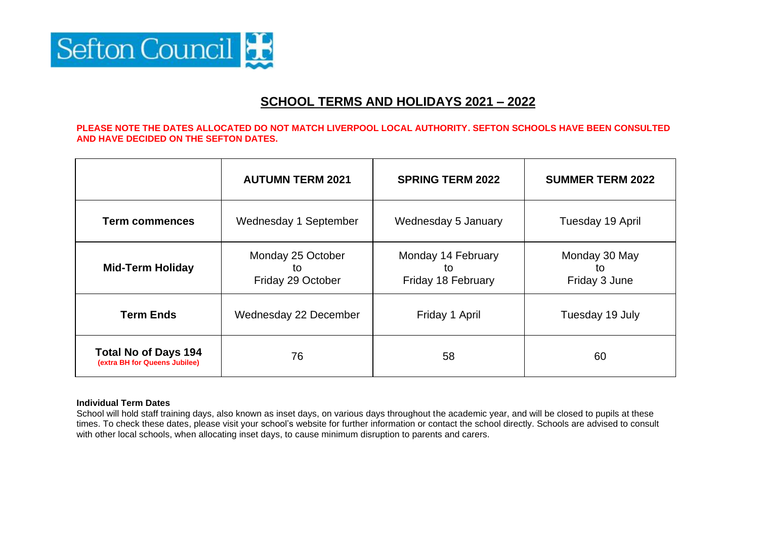

## **SCHOOL TERMS AND HOLIDAYS 2021 – 2022**

## **PLEASE NOTE THE DATES ALLOCATED DO NOT MATCH LIVERPOOL LOCAL AUTHORITY. SEFTON SCHOOLS HAVE BEEN CONSULTED AND HAVE DECIDED ON THE SEFTON DATES.**

|                                                              | <b>AUTUMN TERM 2021</b>                      | <b>SPRING TERM 2022</b>                        | <b>SUMMER TERM 2022</b>              |  |  |  |
|--------------------------------------------------------------|----------------------------------------------|------------------------------------------------|--------------------------------------|--|--|--|
| <b>Term commences</b>                                        | Wednesday 1 September                        | Wednesday 5 January                            | Tuesday 19 April                     |  |  |  |
| <b>Mid-Term Holiday</b>                                      | Monday 25 October<br>to<br>Friday 29 October | Monday 14 February<br>to<br>Friday 18 February | Monday 30 May<br>to<br>Friday 3 June |  |  |  |
| <b>Term Ends</b>                                             | Wednesday 22 December                        | Friday 1 April                                 | Tuesday 19 July                      |  |  |  |
| <b>Total No of Days 194</b><br>(extra BH for Queens Jubilee) | 76                                           | 58                                             | 60                                   |  |  |  |

## **Individual Term Dates**

School will hold staff training days, also known as inset days, on various days throughout the academic year, and will be closed to pupils at these times. To check these dates, please visit your school's website for further information or contact the school directly. Schools are advised to consult with other local schools, when allocating inset days, to cause minimum disruption to parents and carers.